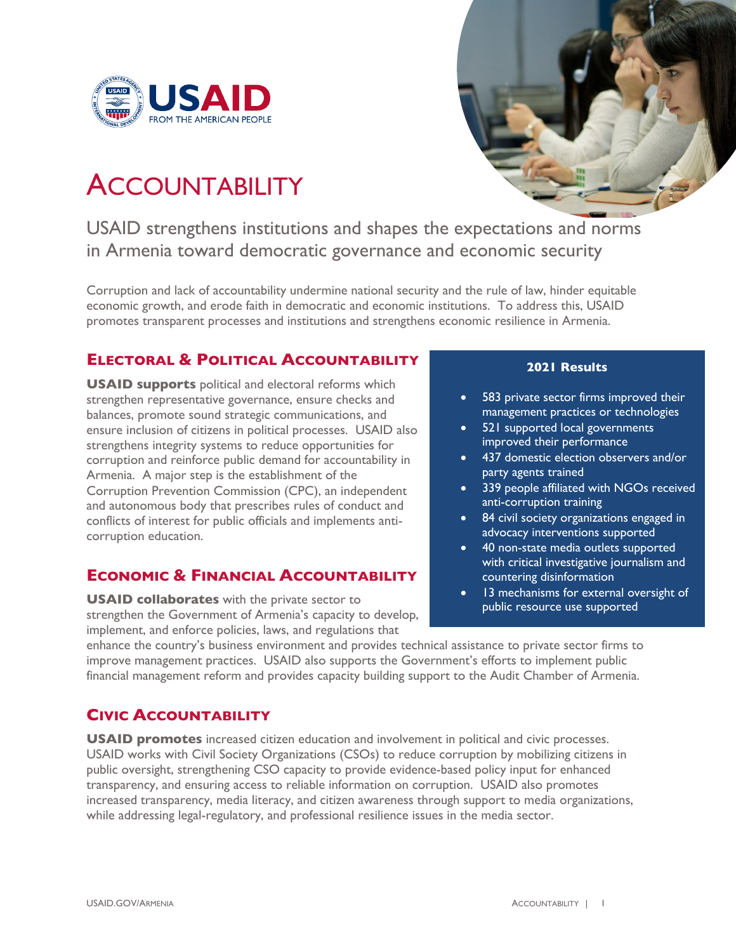



# **ACCOUNTABILITY**

USAID strengthens institutions and shapes the expectations and norms in Armenia toward democratic governance and economic security

Corruption and lack of accountability undermine national security and the rule of law, hinder equitable economic growth, and erode faith in democratic and economic institutions. To address this, USAID promotes transparent processes and institutions and strengthens economic resilience in Armenia.

## **ELECTORAL & POLITICAL ACCOUNTABILITY**

**USAID supports** political and electoral reforms which strengthen representative governance, ensure checks and balances, promote sound strategic communications, and ensure inclusion of citizens in political processes. USAID also strengthens integrity systems to reduce opportunities for corruption and reinforce public demand for accountability in Armenia. A major step is the establishment of the Corruption Prevention Commission (CPC), an independent and autonomous body that prescribes rules of conduct and conflicts of interest for public officials and implements anticorruption education.

### **ECONOMIC & FINANCIAL ACCOUNTABILITY**

**USAID collaborates** with the private sector to strengthen the Government of Armenia's capacity to develop, implement, and enforce policies, laws, and regulations that

#### **2021 Results**

- 583 private sector firms improved their management practices or technologies
- 521 supported local governments improved their performance
- 437 domestic election observers and/or party agents trained
- 339 people affiliated with NGOs received anti-corruption training
- 84 civil society organizations engaged in advocacy interventions supported
- 40 non-state media outlets supported with critical investigative journalism and countering disinformation
- 13 mechanisms for external oversight of public resource use supported

enhance the country's business environment and provides technical assistance to private sector firms to improve management practices. USAID also supports the Government's efforts to implement public financial management reform and provides capacity building support to the Audit Chamber of Armenia.

## **CIVIC ACCOUNTABILITY**

**USAID promotes** increased citizen education and involvement in political and civic processes. USAID works with Civil Society Organizations (CSOs) to reduce corruption by mobilizing citizens in public oversight, strengthening CSO capacity to provide evidence-based policy input for enhanced transparency, and ensuring access to reliable information on corruption. USAID also promotes increased transparency, media literacy, and citizen awareness through support to media organizations, while addressing legal-regulatory, and professional resilience issues in the media sector.